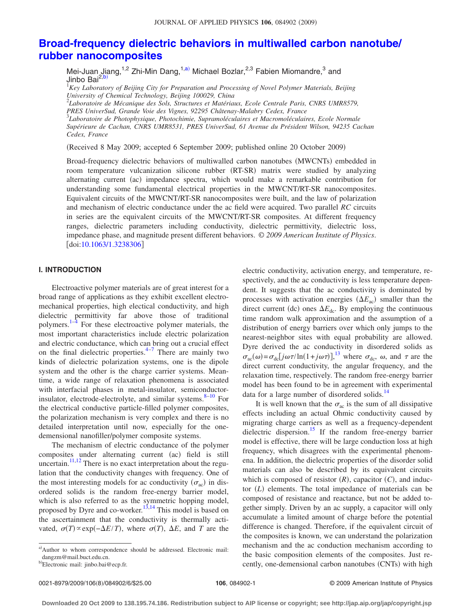# **[Broad-frequency dielectric behaviors in multiwalled carbon nanotube/](http://dx.doi.org/10.1063/1.3238306) [rubber nanocomposites](http://dx.doi.org/10.1063/1.3238306)**

Mei-Juan Jiang,<sup>1,2</sup> Zhi-Min Dang,<sup>1,a)</sup> Michael Bozlar,<sup>2,3</sup> Fabien Miomandre,<sup>3</sup> and Jinbo Bai<sup>2,b</sup>

<sup>1</sup>Key Laboratory of Beijing City for Preparation and Processing of Novel Polymer Materials, Beijing *University of Chemical Technology, Beijing 100029, China*

2 *Laboratoire de Mécanique des Sols, Structures et Matériaux, Ecole Centrale Paris, CNRS UMR8579, PRES UniverSud, Grande Voie des Vignes, 92295 Châtenay-Malabry Cedex, France* 3 *Laboratoire de Photophysique, Photochimie, Supramoléculaires et Macromoléculaires, Ecole Normale Supérieure de Cachan, CNRS UMR8531, PRES UniverSud, 61 Avenue du Président Wilson, 94235 Cachan Cedex, France*

Received 8 May 2009; accepted 6 September 2009; published online 20 October 2009-

Broad-frequency dielectric behaviors of multiwalled carbon nanotubes (MWCNTs) embedded in room temperature vulcanization silicone rubber (RT-SR) matrix were studied by analyzing alternating current (ac) impedance spectra, which would make a remarkable contribution for understanding some fundamental electrical properties in the MWCNT/RT-SR nanocomposites. Equivalent circuits of the MWCNT/RT-SR nanocomposites were built, and the law of polarization and mechanism of electric conductance under the ac field were acquired. Two parallel *RC* circuits in series are the equivalent circuits of the MWCNT/RT-SR composites. At different frequency ranges, dielectric parameters including conductivity, dielectric permittivity, dielectric loss, impedance phase, and magnitude present different behaviors. © *2009 American Institute of Physics*.  $\lfloor \text{doi:10.1063/1.3238306} \rfloor$  $\lfloor \text{doi:10.1063/1.3238306} \rfloor$  $\lfloor \text{doi:10.1063/1.3238306} \rfloor$ 

# **I. INTRODUCTION**

Electroactive polymer materials are of great interest for a broad range of applications as they exhibit excellent electromechanical properties, high electical conductivity, and high dielectric permittivity far above those of traditional polymers.<sup>1–[4](#page-5-1)</sup> For these electroactive polymer materials, the most important characteristics include electric polarization and electric conductance, which can bring out a crucial effect on the final dielectric properties. $4-7$  There are mainly two kinds of dielectric polarization systems, one is the dipole system and the other is the charge carrier systems. Meantime, a wide range of relaxation phenomena is associated with interfacial phases in metal-insulator, semiconductorinsulator, electrode-electrolyte, and similar systems. $8-10$  For the electrical conductive particle-filled polymer composites, the polarization mechanism is very complex and there is no detailed interpretation until now, especially for the onedemensional nanofiller/polymer composite systems.

The mechanism of electric conductance of the polymer composites under alternating current (ac) field is still uncertain.<sup>11[,12](#page-5-6)</sup> There is no exact interpretation about the regulation that the conductivity changes with frequency. One of the most interesting models for ac conductivity  $(\sigma_{ac})$  in disordered solids is the random free-energy barrier model, which is also referred to as the symmetric hopping model, proposed by Dyre and co-worker.<sup>13,[14](#page-5-8)</sup> This model is based on the ascertainment that the conductivity is thermally activated,  $\sigma(T) \propto \exp(-\Delta E/T)$ , where  $\sigma(T)$ ,  $\Delta E$ , and *T* are the

electric conductivity, activation energy, and temperature, respectively, and the ac conductivity is less temperature dependent. It suggests that the ac conductivity is dominated by processes with activation energies  $(\Delta E_{ac})$  smaller than the direct current (dc) ones  $\Delta E_{\text{dc}}$ . By employing the continuous time random walk approximation and the assumption of a distribution of energy barriers over which only jumps to the nearest-neighbor sites with equal probability are allowed. Dyre derived the ac conductivity in disordered solids as  $\sigma_{ac}(\omega) = \sigma_{dc} [j\omega\tau/\ln(1+j\omega\tau)]$ ,<sup>[13](#page-5-7)</sup> where  $\sigma_{dc}$ ,  $\omega$ , and  $\tau$  are the direct current conductivity, the angular frequency, and the relaxation time, respectively. The random free-energy barrier model has been found to be in agreement with experimental data for a large number of disordered solids.<sup>14</sup>

It is well known that the  $\sigma_{ac}$  is the sum of all dissipative effects including an actual Ohmic conductivity caused by migrating charge carriers as well as a frequency-dependent dielectric dispersion.<sup>15</sup> If the random free-energy barrier model is effective, there will be large conduction loss at high frequency, which disagrees with the experimental phenomena. In addition, the dielectric properties of the disorder solid materials can also be described by its equivalent circuits which is composed of resistor  $(R)$ , capacitor  $(C)$ , and inductor (L) elements. The total impedance of materials can be composed of resistance and reactance, but not be added together simply. Driven by an ac supply, a capacitor will only accumulate a limited amount of charge before the potential difference is changed. Therefore, if the equivalent circuit of the composites is known, we can understand the polarization mechanism and the ac conduction mechanism according to the basic composition elements of the composites. Just recently, one-demensional carbon nanotubes (CNTs) with high

a)Author to whom correspondence should be addressed. Electronic mail: dangzm@mail.buct.edu.cn.

<sup>&</sup>lt;sup>b)</sup>Electronic mail: jinbo.bai@ecp.fr.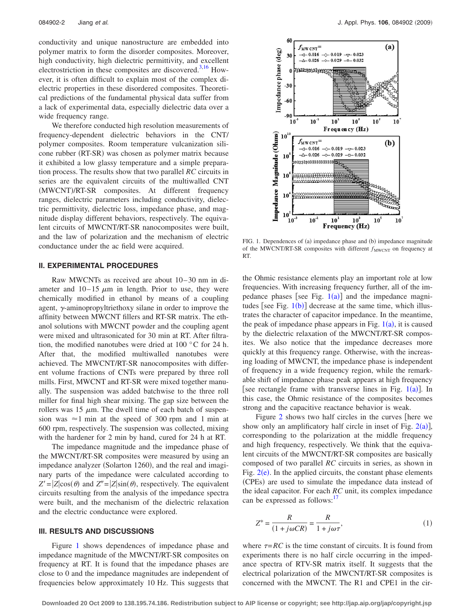conductivity and unique nanostructure are embedded into polymer matrix to form the disorder composites. Moreover, high conductivity, high dielectric permittivity, and excellent electrostriction in these composites are discovered.<sup>3,[16](#page-5-11)</sup> However, it is often difficult to explain most of the complex dielectric properties in these disordered composites. Theoretical predictions of the fundamental physical data suffer from a lack of experimental data, especially dielectric data over a wide frequency range.

We therefore conducted high resolution measurements of frequency-dependent dielectric behaviors in the CNT/ polymer composites. Room temperature vulcanization silicone rubber (RT-SR) was chosen as polymer matrix because it exhibited a low glassy temperature and a simple preparation process. The results show that two parallel *RC* circuits in series are the equivalent circuits of the multiwalled CNT (MWCNT)/RT-SR composites. At different frequency ranges, dielectric parameters including conductivity, dielectric permittivity, dielectric loss, impedance phase, and magnitude display different behaviors, respectively. The equivalent circuits of MWCNT/RT-SR nanocomposites were built, and the law of polarization and the mechanism of electric conductance under the ac field were acquired.

#### **II. EXPERIMENTAL PROCEDURES**

Raw MWCNTs as received are about 10– 30 nm in diameter and  $10-15 \mu m$  in length. Prior to use, they were chemically modified in ethanol by means of a coupling agent,  $\gamma$ -aminopropyltriethoxy silane in order to improve the affinity between MWCNT fillers and RT-SR matrix. The ethanol solutions with MWCNT powder and the coupling agent were mixed and ultrasonicated for 30 min at RT. After filtration, the modified nanotubes were dried at 100 °C for 24 h. After that, the modified multiwalled nanotubes were achieved. The MWCNT/RT-SR nanocomposites with different volume fractions of CNTs were prepared by three roll mills. First, MWCNT and RT-SR were mixed together manually. The suspension was added batchwise to the three roll miller for final high shear mixing. The gap size between the rollers was 15  $\mu$ m. The dwell time of each batch of suspension was  $\approx$ 1 min at the speed of 300 rpm and 1 min at 600 rpm, respectively. The suspension was collected, mixing with the hardener for 2 min by hand, cured for 24 h at RT.

The impedance magnitude and the impedance phase of the MWCNT/RT-SR composites were measured by using an impedance analyzer (Solarton 1260), and the real and imaginary parts of the impedance were calculated according to  $Z' = |Z|\cos(\theta)$  and  $Z'' = |Z|\sin(\theta)$ , respectively. The equivalent circuits resulting from the analysis of the impedance spectra were built, and the mechanism of the dielectric relaxation and the electric conductance were explored.

# **III. RESULTS AND DISCUSSIONS**

Figure [1](#page-1-0) shows dependences of impedance phase and impedance magnitude of the MWCNT/RT-SR composites on frequency at RT. It is found that the impedance phases are close to 0 and the impedance magnitudes are independent of frequencies below approximately 10 Hz. This suggests that

<span id="page-1-0"></span>

FIG. 1. Dependences of (a) impedance phase and (b) impedance magnitude of the MWCNT/RT-SR composites with different  $f_{\text{MWCNT}}$  on frequency at RT.

the Ohmic resistance elements play an important role at low frequencies. With increasing frequency further, all of the impedance phases [see Fig.  $1(a)$  $1(a)$ ] and the impedance magnitudes [see Fig.  $1(b)$  $1(b)$ ] decrease at the same time, which illustrates the character of capacitor impedance. In the meantime, the peak of impedance phase appears in Fig.  $1(a)$  $1(a)$ , it is caused by the dielectric relaxation of the MWCNT/RT-SR composites. We also notice that the impedance decreases more quickly at this frequency range. Otherwise, with the increasing loading of MWCNT, the impedance phase is independent of frequency in a wide frequency region, while the remarkable shift of impedance phase peak appears at high frequency [see rectangle frame with transverse lines in Fig.  $1(a)$  $1(a)$ ]. In this case, the Ohmic resistance of the composites becomes strong and the capacitive reactance behavior is weak.

Figure  $2$  shows two half circles in the curves [here we show only an amplificatory half circle in inset of Fig.  $2(a)$  $2(a)$ ], corresponding to the polarization at the middle frequency and high frequency, respectively. We think that the equivalent circuits of the MWCNT/RT-SR composites are basically composed of two parallel *RC* circuits in series, as shown in Fig.  $2(e)$  $2(e)$ . In the applied circuits, the constant phase elements (CPEs) are used to simulate the impedance data instead of the ideal capacitor. For each *RC* unit, its complex impedance can be expressed as follows:<sup>17</sup>

<span id="page-1-1"></span>
$$
Z^* = \frac{R}{(1 + j\omega CR)} = \frac{R}{1 + j\omega\tau},\tag{1}
$$

where  $\tau = RC$  is the time constant of circuits. It is found from experiments there is no half circle occurring in the impedance spectra of RTV-SR matrix itself. It suggests that the electrical polarization of the MWCNT/RT-SR composites is concerned with the MWCNT. The R1 and CPE1 in the cir-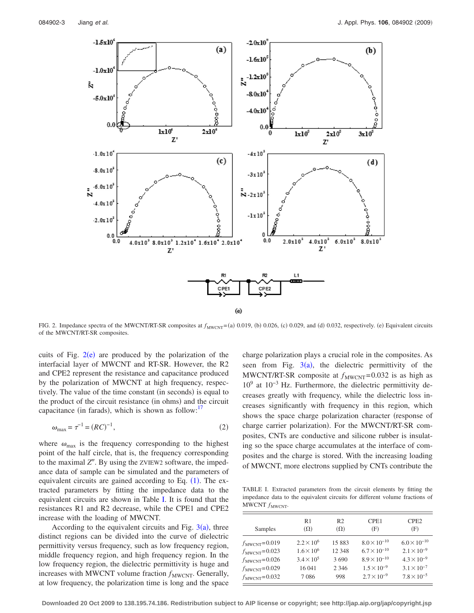<span id="page-2-0"></span>

FIG. 2. Impedance spectra of the MWCNT/RT-SR composites at  $f_{\text{MWCNT}} = (a) 0.019$ , (b) 0.026, (c) 0.029, and (d) 0.032, respectively. (e) Equivalent circuits of the MWCNT/RT-SR composites.

cuits of Fig.  $2(e)$  $2(e)$  are produced by the polarization of the interfacial layer of MWCNT and RT-SR. However, the R2 and CPE2 represent the resistance and capacitance produced by the polarization of MWCNT at high frequency, respectively. The value of the time constant (in seconds) is equal to the product of the circuit resistance (in ohms) and the circuit capacitance (in farads), which is shown as follow: $17$ 

$$
\omega_{\text{max}} = \tau^{-1} = (RC)^{-1},\tag{2}
$$

where  $\omega_{\text{max}}$  is the frequency corresponding to the highest point of the half circle, that is, the frequency corresponding to the maximal Z". By using the ZVIEW2 software, the impedance data of sample can be simulated and the parameters of equivalent circuits are gained according to Eq.  $(1)$  $(1)$  $(1)$ . The extracted parameters by fitting the impedance data to the equivalent circuits are shown in Table [I.](#page-2-1) It is found that the resistances R1 and R2 decrease, while the CPE1 and CPE2 increase with the loading of MWCNT.

According to the equivalent circuits and Fig.  $3(a)$  $3(a)$ , three distinct regions can be divided into the curve of dielectric permittivity versus frequency, such as low frequency region, middle frequency region, and high frequency region. In the low frequency region, the dielectric permittivity is huge and increases with MWCNT volume fraction  $f_{\text{MWCNT}}$ . Generally, at low frequency, the polarization time is long and the space

charge polarization plays a crucial role in the composites. As seen from Fig.  $3(a)$  $3(a)$ , the dielectric permittivity of the MWCNT/RT-SR composite at  $f_{\text{MWCNT}}= 0.032$  is as high as  $10<sup>9</sup>$  at  $10<sup>-3</sup>$  Hz. Furthermore, the dielectric permittivity decreases greatly with frequency, while the dielectric loss increases significantly with frequency in this region, which shows the space charge polarization character (response of charge carrier polarization). For the MWCNT/RT-SR composites, CNTs are conductive and silicone rubber is insulating so the space charge accumulates at the interface of composites and the charge is stored. With the increasing loading of MWCNT, more electrons supplied by CNTs contribute the

<span id="page-2-1"></span>TABLE I. Extracted parameters from the circuit elements by fitting the impedance data to the equivalent circuits for different volume fractions of MWCNT  $f_{\text{MWCNT}}$ .

| Samples                  | R <sub>1</sub>      | R <sub>2</sub> | CPE <sub>1</sub>      | CPE <sub>2</sub>      |
|--------------------------|---------------------|----------------|-----------------------|-----------------------|
|                          | $(\Omega)$          | $(\Omega)$     | (F)                   | (F)                   |
| $f_{\text{MWCNT}}=0.019$ | $2.2 \times 10^6$   | 15883          | $8.0 \times 10^{-10}$ | $6.0 \times 10^{-10}$ |
| $f_{\text{MWCNT}}=0.023$ | $1.6 \times 10^{6}$ | 12 348         | $6.7 \times 10^{-10}$ | $2.1 \times 10^{-9}$  |
| $f_{\text{MWCNT}}=0.026$ | $3.4 \times 10^5$   | 3690           | $8.9 \times 10^{-10}$ | $4.3 \times 10^{-9}$  |
| $f_{\text{MWCNT}}=0.029$ | 16 041              | 2 3 4 6        | $1.5 \times 10^{-9}$  | $3.1 \times 10^{-7}$  |
| $f_{\text{MWCNT}}=0.032$ | 7086                | 998            | $2.7 \times 10^{-9}$  | $7.8 \times 10^{-5}$  |

**Downloaded 20 Oct 2009 to 138.195.74.186. Redistribution subject to AIP license or copyright; see http://jap.aip.org/jap/copyright.jsp**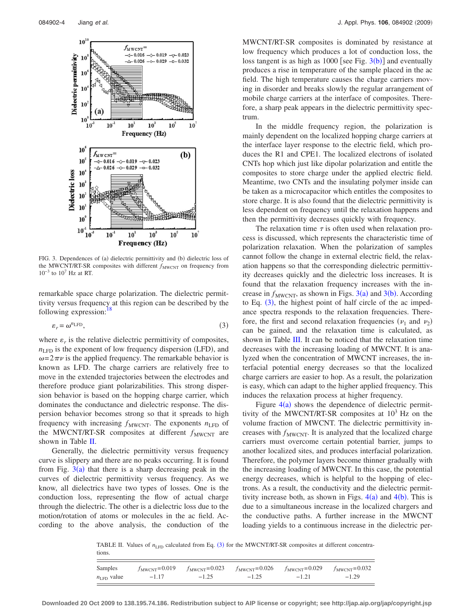<span id="page-3-0"></span>

FIG. 3. Dependences of (a) dielectric permittivity and (b) dielectric loss of the MWCNT/RT-SR composites with different  $f_{\text{MWCNT}}$  on frequency from  $10^{-3}$  to  $10^{7}$  Hz at RT.

remarkable space charge polarization. The dielectric permittivity versus frequency at this region can be described by the following expression: $18$ 

$$
\varepsilon_r = \omega^{n_{\text{LFD}}},\tag{3}
$$

<span id="page-3-2"></span>where  $\varepsilon_r$  is the relative dielectric permittivity of composites,  $n_{\text{LFD}}$  is the exponent of low frequency dispersion (LFD), and  $\omega = 2\pi \nu$  is the applied frequency. The remarkable behavior is known as LFD. The charge carriers are relatively free to move in the extended trajectories between the electrodes and therefore produce giant polarizabilities. This strong dispersion behavior is based on the hopping charge carrier, which dominates the conductance and dielectric response. The dispersion behavior becomes strong so that it spreads to high frequency with increasing  $f_{\text{MWCNT}}$ . The exponents  $n_{\text{LFD}}$  of the MWCNT/RT-SR composites at different  $f_{\text{MWCNT}}$  are shown in Table [II.](#page-3-1)

Generally, the dielectric permittivity versus frequency curve is slippery and there are no peaks occurring. It is found from Fig.  $3(a)$  $3(a)$  that there is a sharp decreasing peak in the curves of dielectric permittivity versus frequency. As we know, all dielectrics have two types of losses. One is the conduction loss, representing the flow of actual charge through the dielectric. The other is a dielectric loss due to the motion/rotation of atoms or molecules in the ac field. According to the above analysis, the conduction of the MWCNT/RT-SR composites is dominated by resistance at low frequency which produces a lot of conduction loss, the loss tangent is as high as  $1000$  [see Fig.  $3(b)$  $3(b)$ ] and eventually produces a rise in temperature of the sample placed in the ac field. The high temperature causes the charge carriers moving in disorder and breaks slowly the regular arrangement of mobile charge carriers at the interface of composites. Therefore, a sharp peak appears in the dielectric permittivity spectrum.

In the middle frequency region, the polarization is mainly dependent on the localized hopping charge carriers at the interface layer response to the electric field, which produces the R1 and CPE1. The localized electrons of isolated CNTs hop which just like dipolar polarization and entitle the composites to store charge under the applied electric field. Meantime, two CNTs and the insulating polymer inside can be taken as a microcapacitor which entitles the composites to store charge. It is also found that the dielectric permittivity is less dependent on frequency until the relaxation happens and then the permittivity decreases quickly with frequency.

The relaxation time  $\tau$  is often used when relaxation process is discussed, which represents the characteristic time of polarization relaxation. When the polarization of samples cannot follow the change in external electric field, the relaxation happens so that the corresponding dielectric permittivity decreases quickly and the dielectric loss increases. It is found that the relaxation frequency increases with the increase in  $f_{\text{MWCNT}}$ , as shown in Figs. [3](#page-3-0)(a) and 3(b). According to Eq.  $(3)$  $(3)$  $(3)$ , the highest point of half circle of the ac impedance spectra responds to the relaxation frequencies. Therefore, the first and second relaxation frequencies  $(\nu_1$  and  $\nu_2)$ can be gained, and the relaxation time is calculated, as shown in Table [III.](#page-4-0) It can be noticed that the relaxation time decreases with the increasing loading of MWCNT. It is analyzed when the concentration of MWCNT increases, the interfacial potential energy decreases so that the localized charge carriers are easier to hop. As a result, the polarization is easy, which can adapt to the higher applied frequency. This induces the relaxation process at higher frequency.

Figure  $4(a)$  $4(a)$  shows the dependence of dielectric permittivity of the MWCNT/RT-SR composites at  $10<sup>3</sup>$  Hz on the volume fraction of MWCNT. The dielectric permittivity increases with  $f_{\text{MWCNT}}$ . It is analyzed that the localized charge carriers must overcome certain potential barrier, jumps to another localized sites, and produces interfacial polarization. Therefore, the polymer layers become thinner gradually with the increasing loading of MWCNT. In this case, the potential energy decreases, which is helpful to the hopping of electrons. As a result, the conductivity and the dielectric permittivity increase both, as shown in Figs.  $4(a)$  $4(a)$  and  $4(b)$ . This is due to a simultaneous increase in the localized chargers and the conductive paths. A further increase in the MWCNT loading yields to a continuous increase in the dielectric per-

<span id="page-3-1"></span>TABLE II. Values of  $n_{\text{LFD}}$  calculated from Eq. ([3](#page-3-2)) for the MWCNT/RT-SR composites at different concentrations.

| Samples                |         | $f_{\text{MWCNT}} = 0.019$ $f_{\text{MWCNT}} = 0.023$ $f_{\text{MWCNT}} = 0.026$ $f_{\text{MWCNT}} = 0.029$ $f_{\text{MWCNT}} = 0.032$ |         |         |         |
|------------------------|---------|----------------------------------------------------------------------------------------------------------------------------------------|---------|---------|---------|
| $n_{\text{LED}}$ value | $-1.17$ | $-1.25$                                                                                                                                | $-1.25$ | $-1.21$ | $-1.29$ |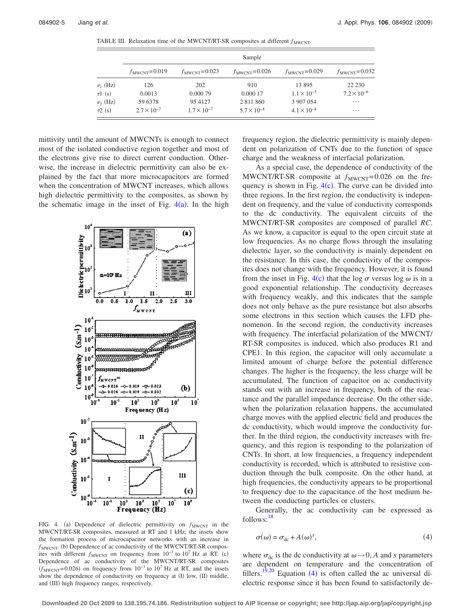<span id="page-4-0"></span>TABLE III. Relaxation time of the MWCNT/RT-SR composites at different  $f_{\text{MWCNT}}$ .

|              | Sample                   |                          |                          |                          |                          |  |  |  |
|--------------|--------------------------|--------------------------|--------------------------|--------------------------|--------------------------|--|--|--|
|              | $f_{\text{MWCNT}}=0.019$ | $f_{\text{MWCNT}}=0.023$ | $f_{\text{MWCNT}}=0.026$ | $f_{\text{MWCNT}}=0.029$ | $f_{\text{MWCNT}}=0.032$ |  |  |  |
| $\nu_1$ (Hz) | 126                      | 202                      | 910                      | 13895                    | 22 2 30                  |  |  |  |
| $\tau$ 1 (s) | 0.0013                   | 0.000 79                 | 0.000 17                 | $1.1 \times 10^{-5}$     | $7.2 \times 10^{-6}$     |  |  |  |
| $\nu_2$ (Hz) | 59 6378                  | 95 4127                  | 2 8 1 1 8 6 0            | 3 907 054                | $\cdots$                 |  |  |  |
| $\tau$ 2 (s) | $2.7 \times 10^{-7}$     | $1.7 \times 10^{-7}$     | $5.7 \times 10^{-8}$     | $4.1 \times 10^{-8}$     | $\cdots$                 |  |  |  |

mittivity until the amount of MWCNTs is enough to connect most of the isolated conductive region together and most of the electrons give rise to direct current conduction. Otherwise, the increase in dielectric permittivity can also be explained by the fact that more microcapacitors are formed when the concentration of MWCNT increases, which allows high dielectric permittivity to the composites, as shown by the schematic image in the inset of Fig.  $4(a)$  $4(a)$ . In the high

<span id="page-4-1"></span>

FIG. 4. (a) Dependence of dielectric permittivity on  $f_{\text{MWCNT}}$  in the MWCNT/RT-SR composites, measured at RT and 1 kHz; the insets show the formation process of microcapacitor networks with an increase in  $f_{\text{MWCNT}}$ . (b) Dependence of ac conductivity of the MWCNT/RT-SR composites with different  $f_{\text{MWCNT}}$  on frequency from  $10^{-3}$  to  $10^7$  Hz at RT. (c) Dependence of ac conductivity of the MWCNT/RT-SR composites  $(f_{\text{MWCNT}}=0.026)$  on frequency from  $10^{-3}$  to  $10^{7}$  Hz at RT, and the insets show the dependence of conductivity on frequency at (I) low, (II) middle, and (III) high frequency ranges, respectively.

frequency region, the dielectric permittivity is mainly dependent on polarization of CNTs due to the function of space charge and the weakness of interfacial polarization.

As a special case, the dependence of conductivity of the MWCNT/RT-SR composite at  $f_{\text{MWCNT}}= 0.026$  on the frequency is shown in Fig.  $4(c)$  $4(c)$ . The curve can be divided into three regions. In the first region, the conductivity is independent on frequency, and the value of conductivity corresponds to the dc conductivity. The equivalent circuits of the MWCNT/RT-SR composites are composed of parallel *RC*. As we know, a capacitor is equal to the open circuit state at low frequencies. As no charge flows through the insulating dielectric layer, so the conductivity is mainly dependent on the resistance. In this case, the conductivity of the composites does not change with the frequency. However, it is found from the inset in Fig. [4](#page-4-1)(c) that the log  $\sigma$  versus log  $\omega$  is in a good exponential relationship. The conductivity decreases with frequency weakly, and this indicates that the sample does not only behave as the pure resistance but also absorbs some electrons in this section which causes the LFD phenomenon. In the second region, the conductivity increases with frequency. The interfacial polarization of the MWCNT/ RT-SR composites is induced, which also produces R1 and CPE1. In this region, the capacitor will only accumulate a limited amount of charge before the potential difference changes. The higher is the frequency, the less charge will be accumulated. The function of capacitor on ac conductivity stands out with an increase in frequency, both of the reactance and the parallel impedance decrease. On the other side, when the polarization relaxation happens, the accumulated charge moves with the applied electric field and produces the dc conductivity, which would improve the conductivity further. In the third region, the conductivity increases with frequency, and this region is responding to the polarization of CNTs. In short, at low frequencies, a frequency independent conductivity is recorded, which is attributed to resistive conduction through the bulk composite. On the other hand, at high frequencies, the conductivity appears to be proportional to frequency due to the capacitance of the host medium between the conducting particles or clusters.

Generally, the ac conductivity can be expressed as follows[:18](#page-5-13)

<span id="page-4-2"></span>
$$
\sigma(\omega) = \sigma_{\rm dc} + A(\omega)^s,\tag{4}
$$

where  $\sigma_{dc}$  is the dc conductivity at  $\omega \rightarrow 0$ , *A* and *s* parameters are dependent on temperature and the concentration of fillers.<sup>19[,20](#page-5-15)</sup> Equation ([4](#page-4-2)) is often called the ac universal dielectric response since it has been found to satisfactorily de-